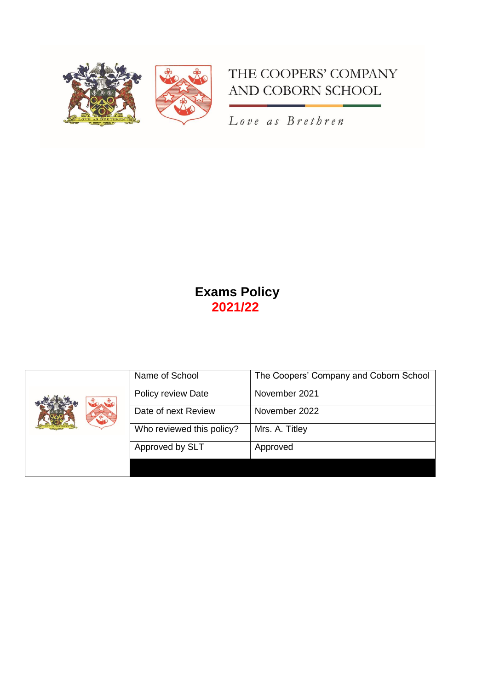

# THE COOPERS' COMPANY AND COBORN SCHOOL

Love as Brethren

# **Exams Policy 2021/22**

|  | Name of School            | The Coopers' Company and Coborn School |
|--|---------------------------|----------------------------------------|
|  | Policy review Date        | November 2021                          |
|  | Date of next Review       | November 2022                          |
|  | Who reviewed this policy? | Mrs. A. Titley                         |
|  | Approved by SLT           | Approved                               |
|  |                           |                                        |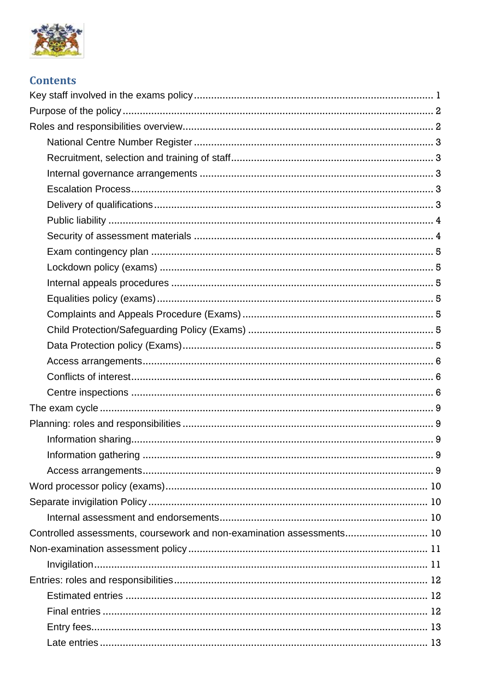

| <b>Contents</b>                                                       |
|-----------------------------------------------------------------------|
|                                                                       |
|                                                                       |
|                                                                       |
|                                                                       |
|                                                                       |
|                                                                       |
|                                                                       |
|                                                                       |
|                                                                       |
|                                                                       |
|                                                                       |
|                                                                       |
|                                                                       |
|                                                                       |
|                                                                       |
|                                                                       |
|                                                                       |
|                                                                       |
|                                                                       |
|                                                                       |
|                                                                       |
|                                                                       |
|                                                                       |
|                                                                       |
|                                                                       |
|                                                                       |
|                                                                       |
|                                                                       |
| Controlled assessments, coursework and non-examination assessments 10 |
|                                                                       |
|                                                                       |
|                                                                       |
|                                                                       |
|                                                                       |
|                                                                       |
|                                                                       |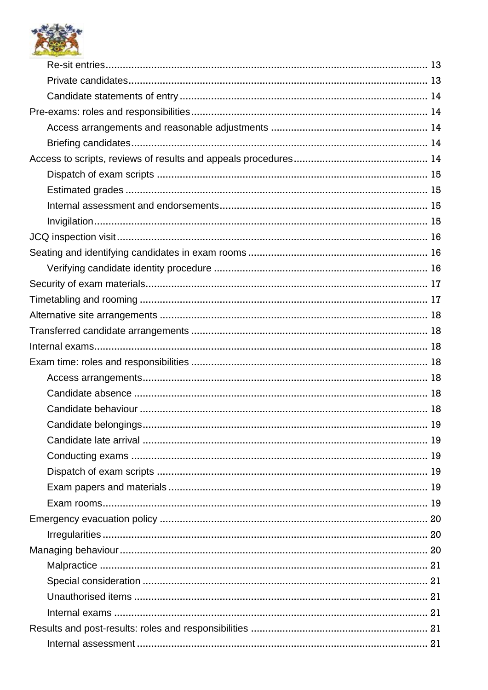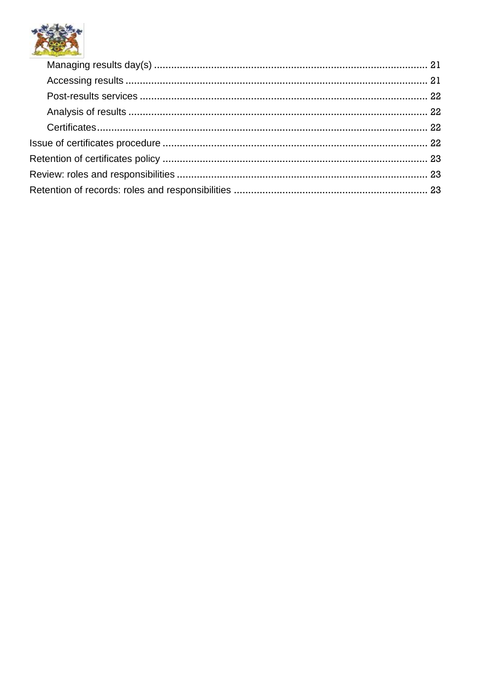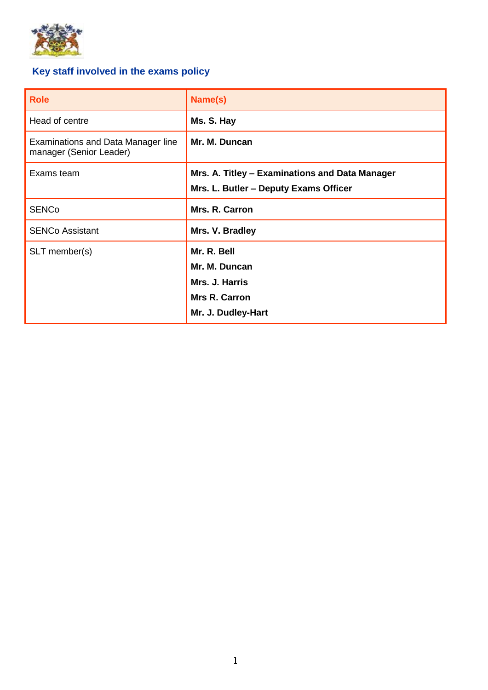

# <span id="page-4-0"></span>**Key staff involved in the exams policy**

| <b>Role</b>                                                          | Name(s)                                                                                      |
|----------------------------------------------------------------------|----------------------------------------------------------------------------------------------|
| Head of centre                                                       | Ms. S. Hay                                                                                   |
| <b>Examinations and Data Manager line</b><br>manager (Senior Leader) | Mr. M. Duncan                                                                                |
| Exams team                                                           | Mrs. A. Titley - Examinations and Data Manager<br>Mrs. L. Butler - Deputy Exams Officer      |
| <b>SENCo</b>                                                         | Mrs. R. Carron                                                                               |
| <b>SENCo Assistant</b>                                               | Mrs. V. Bradley                                                                              |
| SLT member(s)                                                        | Mr. R. Bell<br>Mr. M. Duncan<br>Mrs. J. Harris<br><b>Mrs R. Carron</b><br>Mr. J. Dudley-Hart |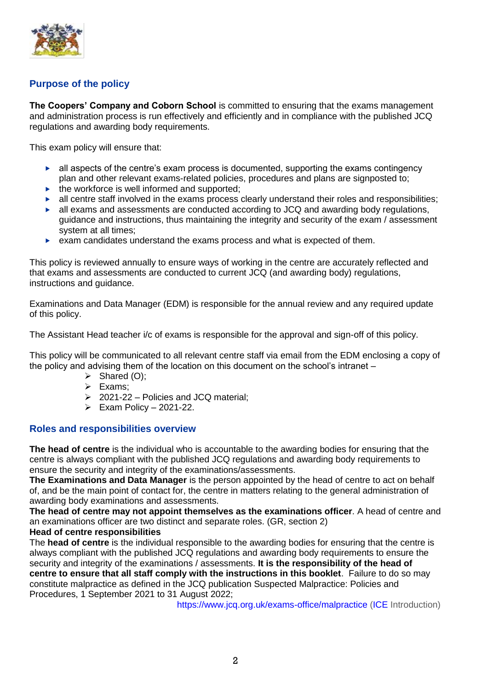

# <span id="page-5-0"></span>**Purpose of the policy**

**The Coopers' Company and Coborn School** is committed to ensuring that the exams management and administration process is run effectively and efficiently and in compliance with the published JCQ regulations and awarding body requirements.

This exam policy will ensure that:

- $\blacktriangleright$  all aspects of the centre's exam process is documented, supporting the exams contingency plan and other relevant exams-related policies, procedures and plans are signposted to;
- $\triangleright$  the workforce is well informed and supported;
- $\blacktriangleright$  all centre staff involved in the exams process clearly understand their roles and responsibilities;
- $\blacktriangleright$  all exams and assessments are conducted according to JCQ and awarding body regulations, guidance and instructions, thus maintaining the integrity and security of the exam / assessment system at all times;
- $\triangleright$  exam candidates understand the exams process and what is expected of them.

This policy is reviewed annually to ensure ways of working in the centre are accurately reflected and that exams and assessments are conducted to current JCQ (and awarding body) regulations, instructions and guidance.

Examinations and Data Manager (EDM) is responsible for the annual review and any required update of this policy.

The Assistant Head teacher i/c of exams is responsible for the approval and sign-off of this policy.

This policy will be communicated to all relevant centre staff via email from the EDM enclosing a copy of the policy and advising them of the location on this document on the school's intranet –

- $\triangleright$  Shared (O);
- $\ge$  Exams;
- ➢ 2021-22 Policies and JCQ material;
- $\triangleright$  Exam Policy 2021-22.

## <span id="page-5-1"></span>**Roles and responsibilities overview**

**The head of centre** is the individual who is accountable to the awarding bodies for ensuring that the centre is always compliant with the published JCQ regulations and awarding body requirements to ensure the security and integrity of the examinations/assessments.

**The Examinations and Data Manager** is the person appointed by the head of centre to act on behalf of, and be the main point of contact for, the centre in matters relating to the general administration of awarding body examinations and assessments.

**The head of centre may not appoint themselves as the examinations officer**. A head of centre and an examinations officer are two distinct and separate roles. [\(GR,](http://www.jcq.org.uk/exams-office/general-regulations) section 2)

#### **Head of centre responsibilities**

The **head of centre** is the individual responsible to the awarding bodies for ensuring that the centre is always compliant with the published JCQ regulations and awarding body requirements to ensure the security and integrity of the examinations / assessments. **It is the responsibility of the head of centre to ensure that all staff comply with the instructions in this booklet**. Failure to do so may constitute malpractice as defined in the JCQ publication Suspected Malpractice: Policies and Procedures, 1 September 2021 to 31 August 2022;

<https://www.jcq.org.uk/exams-office/malpractice> [\(ICE](http://www.jcq.org.uk/exams-office/ice---instructions-for-conducting-examinations) Introduction)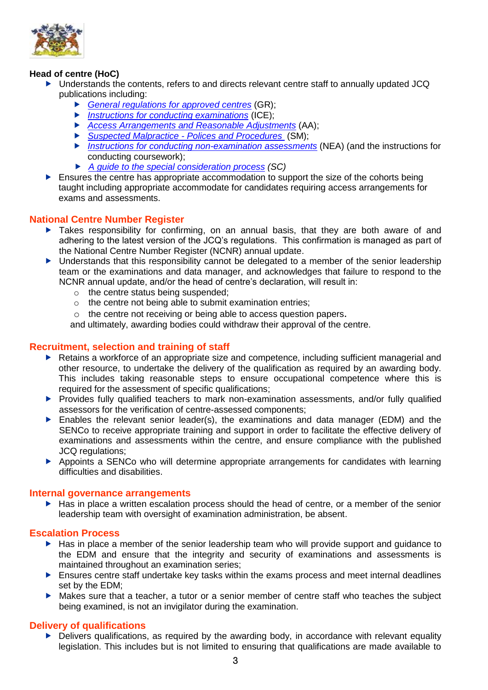

# **Head of centre (HoC)**

- ▶ Understands the contents, refers to and directs relevant centre staff to annually updated JCQ publications including:
	- *[General regulations for approved centres](http://www.jcq.org.uk/exams-office/general-regulations)* (GR);
	- *[Instructions for conducting examinations](http://www.jcq.org.uk/exams-office/ice---instructions-for-conducting-examinations)* (ICE);
	- *[Access Arrangements and Reasonable Adjustments](http://www.jcq.org.uk/exams-office/access-arrangements-and-special-consideration/regulations-and-guidance)* (AA);
	- *Suspected Malpractice - [Polices and Procedures](http://www.jcq.org.uk/exams-office/malpractice)* (SM);
	- *[Instructions for conducting non-examination assessments](http://www.jcq.org.uk/exams-office/non-examination-assessments)* (NEA) (and the instructions for conducting coursework);
	- *[A guide to the special consideration process](http://www.jcq.org.uk/exams-office/access-arrangements-and-special-consideration/regulations-and-guidance) (SC)*
- $\blacktriangleright$  Ensures the centre has appropriate accommodation to support the size of the cohorts being taught including appropriate accommodate for candidates requiring access arrangements for exams and assessments.

# <span id="page-6-0"></span>**National Centre Number Register**

- Takes responsibility for confirming, on an annual basis, that they are both aware of and adhering to the latest version of the JCQ's regulations. This confirmation is managed as part of the National Centre Number Register (NCNR) annual update.
- **Demon that that this responsibility cannot be delegated to a member of the senior leadership** team or the examinations and data manager, and acknowledges that failure to respond to the NCNR annual update, and/or the head of centre's declaration, will result in:
	- o the centre status being suspended;
	- o the centre not being able to submit examination entries;
	- o the centre not receiving or being able to access question papers.

and ultimately, awarding bodies could withdraw their approval of the centre.

# <span id="page-6-1"></span>**Recruitment, selection and training of staff**

- ▶ Retains a workforce of an appropriate size and competence, including sufficient managerial and other resource, to undertake the delivery of the qualification as required by an awarding body. This includes taking reasonable steps to ensure occupational competence where this is required for the assessment of specific qualifications;
- **Provides fully qualified teachers to mark non-examination assessments, and/or fully qualified** assessors for the verification of centre-assessed components;
- Enables the relevant senior leader(s), the examinations and data manager (EDM) and the SENCo to receive appropriate training and support in order to facilitate the effective delivery of examinations and assessments within the centre, and ensure compliance with the published JCQ regulations;
- Appoints a SENCo who will determine appropriate arrangements for candidates with learning difficulties and disabilities.

#### <span id="page-6-2"></span>**Internal governance arrangements**

Has in place a written escalation process should the head of centre, or a member of the senior leadership team with oversight of examination administration, be absent.

## <span id="page-6-3"></span>**Escalation Process**

- $\blacktriangleright$  Has in place a member of the senior leadership team who will provide support and guidance to the EDM and ensure that the integrity and security of examinations and assessments is maintained throughout an examination series;
- $\blacktriangleright$  Ensures centre staff undertake key tasks within the exams process and meet internal deadlines set by the EDM;
- Makes sure that a teacher, a tutor or a senior member of centre staff who teaches the subject being examined, is not an invigilator during the examination.

## <span id="page-6-4"></span>**Delivery of qualifications**

▶ Delivers qualifications, as required by the awarding body, in accordance with relevant equality legislation. This includes but is not limited to ensuring that qualifications are made available to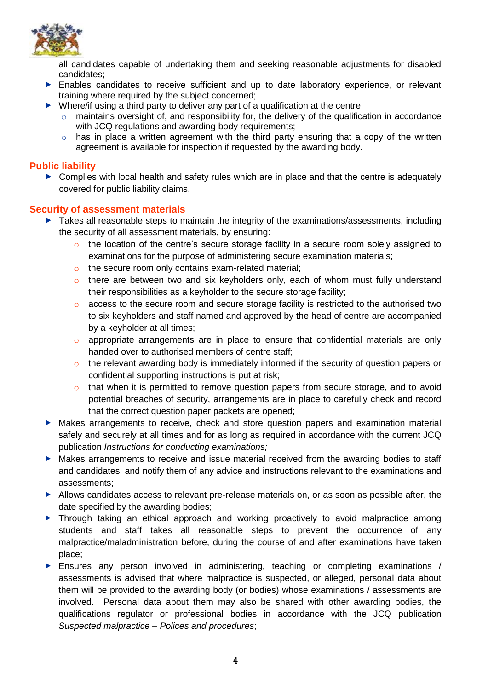

all candidates capable of undertaking them and seeking reasonable adjustments for disabled candidates;

- Enables candidates to receive sufficient and up to date laboratory experience, or relevant training where required by the subject concerned;
- $\triangleright$  Where/if using a third party to deliver any part of a qualification at the centre:
	- $\circ$  maintains oversight of, and responsibility for, the delivery of the qualification in accordance with JCQ regulations and awarding body requirements;
	- $\circ$  has in place a written agreement with the third party ensuring that a copy of the written agreement is available for inspection if requested by the awarding body.

# <span id="page-7-0"></span>**Public liability**

 $\triangleright$  Complies with local health and safety rules which are in place and that the centre is adequately covered for public liability claims.

# <span id="page-7-1"></span>**Security of assessment materials**

- ▶ Takes all reasonable steps to maintain the integrity of the examinations/assessments, including the security of all assessment materials, by ensuring:
	- o the location of the centre's secure storage facility in a secure room solely assigned to examinations for the purpose of administering secure examination materials;
	- o the secure room only contains exam-related material;
	- $\circ$  there are between two and six keyholders only, each of whom must fully understand their responsibilities as a keyholder to the secure storage facility;
	- $\circ$  access to the secure room and secure storage facility is restricted to the authorised two to six keyholders and staff named and approved by the head of centre are accompanied by a keyholder at all times;
	- o appropriate arrangements are in place to ensure that confidential materials are only handed over to authorised members of centre staff;
	- o the relevant awarding body is immediately informed if the security of question papers or confidential supporting instructions is put at risk;
	- $\circ$  that when it is permitted to remove question papers from secure storage, and to avoid potential breaches of security, arrangements are in place to carefully check and record that the correct question paper packets are opened;
- Makes arrangements to receive, check and store question papers and examination material safely and securely at all times and for as long as required in accordance with the current JCQ publication *Instructions for conducting examinations;*
- Makes arrangements to receive and issue material received from the awarding bodies to staff and candidates, and notify them of any advice and instructions relevant to the examinations and assessments;
- Allows candidates access to relevant pre-release materials on, or as soon as possible after, the date specified by the awarding bodies;
- Through taking an ethical approach and working proactively to avoid malpractice among students and staff takes all reasonable steps to prevent the occurrence of any malpractice/maladministration before, during the course of and after examinations have taken place;
- Ensures any person involved in administering, teaching or completing examinations / assessments is advised that where malpractice is suspected, or alleged, personal data about them will be provided to the awarding body (or bodies) whose examinations / assessments are involved. Personal data about them may also be shared with other awarding bodies, the qualifications regulator or professional bodies in accordance with the JCQ publication *Suspected malpractice – Polices and procedures*;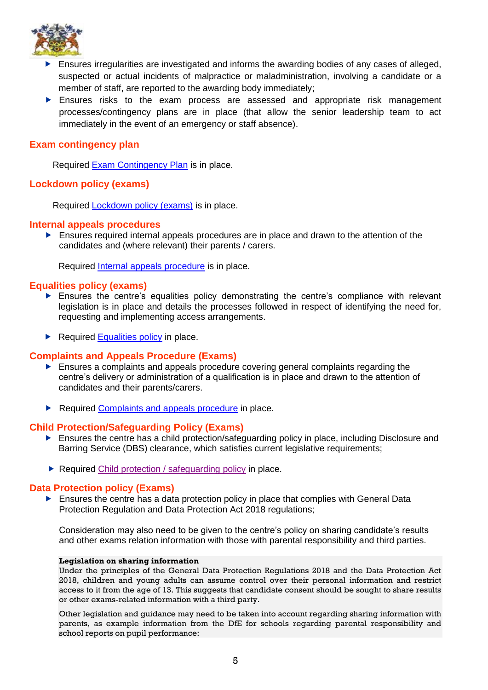

- Ensures irregularities are investigated and informs the awarding bodies of any cases of alleged, suspected or actual incidents of malpractice or maladministration, involving a candidate or a member of staff, are reported to the awarding body immediately;
- Ensures risks to the exam process are assessed and appropriate risk management processes/contingency plans are in place (that allow the senior leadership team to act immediately in the event of an emergency or staff absence).

# <span id="page-8-0"></span>**Exam contingency plan**

Required [Exam Contingency Plan](https://www.cooperscoborn.org.uk/wp-content/uploads/2022/05/Attachment-3-Exam-contingency-plan.pdf) is in place.

# <span id="page-8-1"></span>**Lockdown policy (exams)**

Required [Lockdown policy \(exams\)](https://www.cooperscoborn.org.uk/wp-content/uploads/2022/05/Attachment-1-Lockdown-policy-exams.pdf) is in place.

#### <span id="page-8-2"></span>**Internal appeals procedures**

 Ensures required internal appeals procedures are in place and drawn to the attention of the candidates and (where relevant) their parents / carers.

Required [Internal appeals procedure](https://www.cooperscoborn.org.uk/wp-content/uploads/2022/05/Attachment-4-Internal-appeals-procedures.pdf) is in place.

#### <span id="page-8-3"></span>**Equalities policy (exams)**

- Ensures the centre's equalities policy demonstrating the centre's compliance with relevant legislation is in place and details the processes followed in respect of identifying the need for, requesting and implementing access arrangements.
- $\blacktriangleright$  Required [Equalities policy](https://www.cooperscoborn.org.uk/wp-content/uploads/2022/04/Equalities-policy-exams-template.pdf) in place.

## <span id="page-8-4"></span>**Complaints and Appeals Procedure (Exams)**

- Ensures a complaints and appeals procedure covering general complaints regarding the centre's delivery or administration of a qualification is in place and drawn to the attention of candidates and their parents/carers.
- Required [Complaints and appeals procedure](https://www.cooperscoborn.org.uk/wp-content/uploads/2022/04/Complaints-and-appeals-procedure-exams-template.pdf) in place.

## <span id="page-8-5"></span>**Child Protection/Safeguarding Policy (Exams)**

- **E** Ensures the centre has a child protection/safeguarding policy in place, including Disclosure and Barring Service (DBS) clearance, which satisfies current legislative requirements;
- Required [Child protection / safeguarding policy](https://www.cooperscoborn.org.uk/wp-content/uploads/2022/01/Safeguarding-and-Child-Protection-2021-.pdf) in place.

# <span id="page-8-6"></span>**Data Protection policy (Exams)**

 Ensures the centre has a data protection policy in place that complies with General Data Protection Regulation and Data Protection Act 2018 regulations;

Consideration may also need to be given to the centre's policy on sharing candidate's results and other exams relation information with those with parental responsibility and third parties.

#### **Legislation on sharing information**

Under the principles of the General Data Protection Regulations 2018 and the Data Protection Act 2018, children and young adults can assume control over their personal information and restrict access to it from the age of 13. This suggests that candidate consent should be sought to share results or other exams-related information with a third party.

Other legislation and guidance may need to be taken into account regarding sharing information with parents, as example information from the DfE for schools regarding parental responsibility and school reports on pupil performance: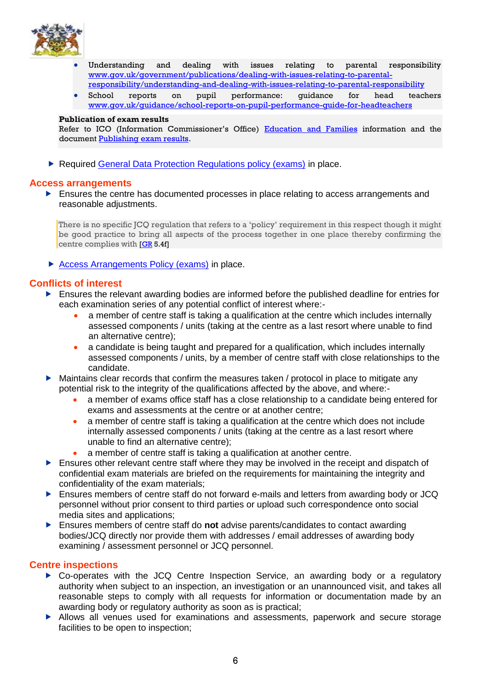

- Understanding and dealing with issues relating to parental responsibility [www.gov.uk/government/publications/dealing-with-issues-relating-to-parental](https://www.gov.uk/government/publications/dealing-with-issues-relating-to-parental-responsibility/understanding-and-dealing-with-issues-relating-to-parental-responsibility)[responsibility/understanding-and-dealing-with-issues-relating-to-parental-responsibility](https://www.gov.uk/government/publications/dealing-with-issues-relating-to-parental-responsibility/understanding-and-dealing-with-issues-relating-to-parental-responsibility)
- School reports on pupil performance: guidance for head teachers [www.gov.uk/guidance/school-reports-on-pupil-performance-guide-for-headteachers](https://www.gov.uk/guidance/school-reports-on-pupil-performance-guide-for-headteachers)

#### **Publication of exam results**

Refer to ICO (Information Commissioner's Office) [Education and Families](https://ico.org.uk/for-organisations/education/) information and the document [Publishing exam results.](https://ico.org.uk/for-organisations/education/)

▶ Required [General Data Protection Regulations policy \(exams\)](https://www.cooperscoborn.org.uk/wp-content/uploads/2022/04/Data-protection-policy-exams.pdf) in place.

#### <span id="page-9-0"></span>**Access arrangements**

**Ensures the centre has documented processes in place relating to access arrangements and** reasonable adjustments.

There is no specific JCQ regulation that refers to a 'policy' requirement in this respect though it might be good practice to bring all aspects of the process together in one place thereby confirming the centre complies with [\[GR](http://www.jcq.org.uk/exams-office/general-regulations) 5.4f]

▶ [Access Arrangements Policy \(exams\)](https://www.cooperscoborn.org.uk/wp-content/uploads/2022/04/Access-Arrangements.pdf) in place.

## <span id="page-9-1"></span>**Conflicts of interest**

- Ensures the relevant awarding bodies are informed before the published deadline for entries for each examination series of any potential conflict of interest where:-
	- a member of centre staff is taking a qualification at the centre which includes internally assessed components / units (taking at the centre as a last resort where unable to find an alternative centre);
	- a candidate is being taught and prepared for a qualification, which includes internally assessed components / units, by a member of centre staff with close relationships to the candidate.
- Maintains clear records that confirm the measures taken / protocol in place to mitigate any potential risk to the integrity of the qualifications affected by the above, and where:-
	- a member of exams office staff has a close relationship to a candidate being entered for exams and assessments at the centre or at another centre;
	- a member of centre staff is taking a qualification at the centre which does not include internally assessed components / units (taking at the centre as a last resort where unable to find an alternative centre);
	- a member of centre staff is taking a qualification at another centre.
- Ensures other relevant centre staff where they may be involved in the receipt and dispatch of confidential exam materials are briefed on the requirements for maintaining the integrity and confidentiality of the exam materials;
- Ensures members of centre staff do not forward e-mails and letters from awarding body or JCQ personnel without prior consent to third parties or upload such correspondence onto social media sites and applications;
- Ensures members of centre staff do **not** advise parents/candidates to contact awarding bodies/JCQ directly nor provide them with addresses / email addresses of awarding body examining / assessment personnel or JCQ personnel.

#### <span id="page-9-2"></span>**Centre inspections**

- ▶ Co-operates with the JCQ Centre Inspection Service, an awarding body or a regulatory authority when subject to an inspection, an investigation or an unannounced visit, and takes all reasonable steps to comply with all requests for information or documentation made by an awarding body or regulatory authority as soon as is practical;
- Allows all venues used for examinations and assessments, paperwork and secure storage facilities to be open to inspection;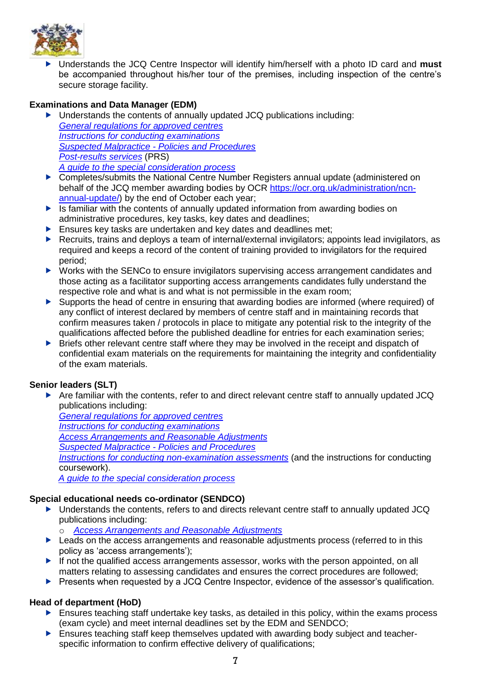

 Understands the JCQ Centre Inspector will identify him/herself with a photo ID card and **must** be accompanied throughout his/her tour of the premises, including inspection of the centre's secure storage facility.

# **Examinations and Data Manager (EDM)**

- ▶ Understands the contents of annually updated JCQ publications including: *[General regulations for approved centres](http://www.jcq.org.uk/exams-office/general-regulations) [Instructions for conducting examinations](http://www.jcq.org.uk/exams-office/ice---instructions-for-conducting-examinations) Suspected Malpractice - [Policies and Procedures](http://www.jcq.org.uk/exams-office/malpractice) [Post-results services](http://www.jcq.org.uk/exams-office/post-results-services)* (PRS) *[A guide to the special consideration process](https://www.jcq.org.uk/exams-office/access-arrangements-and-special-consideration/regulations-and-guidance/)*
- ▶ Completes/submits the National Centre Number Registers annual update (administered on behalf of the JCQ member awarding bodies by OCR [https://ocr.org.uk/administration/ncn](https://ocr.org.uk/administration/ncn-annual-update/)[annual-update/\)](https://ocr.org.uk/administration/ncn-annual-update/) by the end of October each year;
- $\triangleright$  Is familiar with the contents of annually updated information from awarding bodies on administrative procedures, key tasks, key dates and deadlines;
- $\blacktriangleright$  Ensures key tasks are undertaken and key dates and deadlines met:
- Recruits, trains and deploys a team of internal/external invigilators; appoints lead invigilators, as required and keeps a record of the content of training provided to invigilators for the required period;
- ▶ Works with the SENCo to ensure invigilators supervising access arrangement candidates and those acting as a facilitator supporting access arrangements candidates fully understand the respective role and what is and what is not permissible in the exam room;
- Supports the head of centre in ensuring that awarding bodies are informed (where required) of any conflict of interest declared by members of centre staff and in maintaining records that confirm measures taken / protocols in place to mitigate any potential risk to the integrity of the qualifications affected before the published deadline for entries for each examination series;
- **Briefs other relevant centre staff where they may be involved in the receipt and dispatch of** confidential exam materials on the requirements for maintaining the integrity and confidentiality of the exam materials.

## **Senior leaders (SLT)**

Are familiar with the contents, refer to and direct relevant centre staff to annually updated JCQ publications including:

*[General regulations for approved centres](http://www.jcq.org.uk/exams-office/general-regulations) [Instructions for conducting examinations](http://www.jcq.org.uk/exams-office/ice---instructions-for-conducting-examinations) [Access Arrangements and Reasonable Adjustments](http://www.jcq.org.uk/exams-office/access-arrangements-and-special-consideration/regulations-and-guidance) Suspected Malpractice - [Policies and Procedures](https://www.jcq.org.uk/exams-office/malpractice) [Instructions for conducting non-examination assessments](http://www.jcq.org.uk/exams-office/non-examination-assessments)* (and the instructions for conducting coursework). *[A guide to the special consideration process](http://www.jcq.org.uk/exams-office/access-arrangements-and-special-consideration/regulations-and-guidance)*

## **Special educational needs co-ordinator (SENDCO)**

- Understands the contents, refers to and directs relevant centre staff to annually updated JCQ publications including:
	- o *[Access Arrangements and Reasonable Adjustments](http://www.jcq.org.uk/exams-office/access-arrangements-and-special-consideration/regulations-and-guidance)*
- **Leads on the access arrangements and reasonable adjustments process (referred to in this** policy as 'access arrangements');
- If not the qualified access arrangements assessor, works with the person appointed, on all matters relating to assessing candidates and ensures the correct procedures are followed;
- **Presents when requested by a JCQ Centre Inspector, evidence of the assessor's qualification.**

## **Head of department (HoD)**

- **Ensures teaching staff undertake key tasks, as detailed in this policy, within the exams process** (exam cycle) and meet internal deadlines set by the EDM and SENDCO;
- Ensures teaching staff keep themselves updated with awarding body subject and teacherspecific information to confirm effective delivery of qualifications;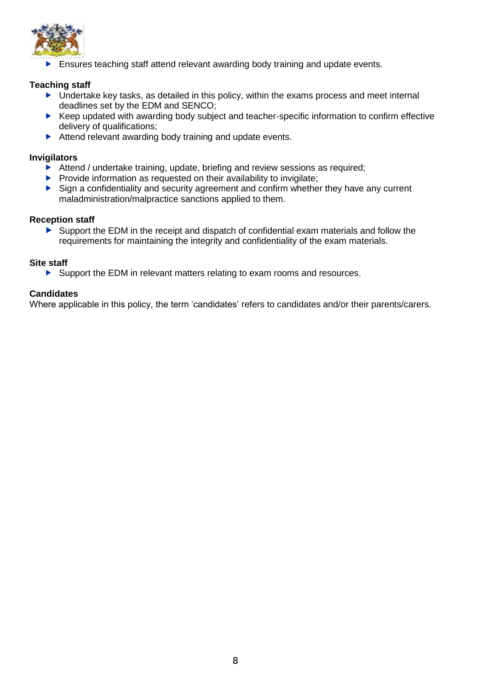

Ensures teaching staff attend relevant awarding body training and update events.

# **Teaching staff**

- $\blacktriangleright$  Undertake key tasks, as detailed in this policy, within the exams process and meet internal deadlines set by the EDM and SENCO;
- ▶ Keep updated with awarding body subject and teacher-specific information to confirm effective delivery of qualifications;
- Attend relevant awarding body training and update events.

## **Invigilators**

- $\blacktriangleright$  Attend / undertake training, update, briefing and review sessions as required;
- $\blacktriangleright$  Provide information as requested on their availability to invigilate;
- Sign a confidentiality and security agreement and confirm whether they have any current maladministration/malpractice sanctions applied to them.

## **Reception staff**

 Support the EDM in the receipt and dispatch of confidential exam materials and follow the requirements for maintaining the integrity and confidentiality of the exam materials.

## **Site staff**

Support the EDM in relevant matters relating to exam rooms and resources.

# **Candidates**

Where applicable in this policy, the term 'candidates' refers to candidates and/or their parents/carers.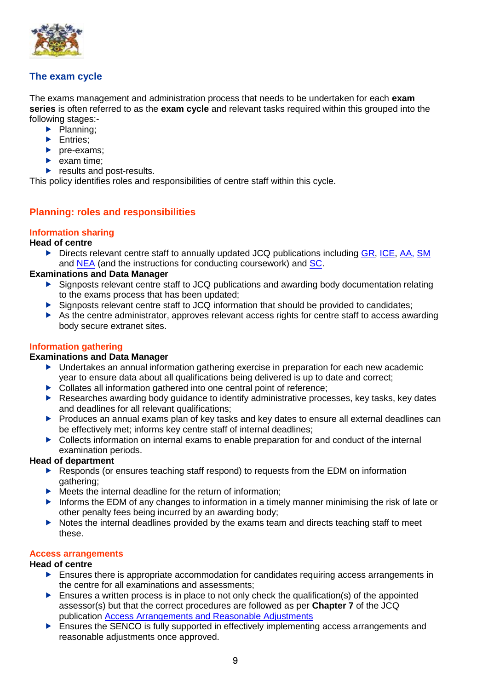

# <span id="page-12-0"></span>**The exam cycle**

The exams management and administration process that needs to be undertaken for each **exam series** is often referred to as the **exam cycle** and relevant tasks required within this grouped into the following stages:-

- $\blacktriangleright$  Planning;
- Entries:
- $\rho$  pre-exams;
- $\blacktriangleright$  exam time;
- $\blacktriangleright$  results and post-results.

<span id="page-12-1"></span>This policy identifies roles and responsibilities of centre staff within this cycle.

# **Planning: roles and responsibilities**

# <span id="page-12-2"></span>**Information sharing**

#### **Head of centre**

Directs relevant centre staff to annually updated JCQ publications including [GR,](http://www.jcq.org.uk/exams-office/general-regulations) [ICE,](http://www.jcq.org.uk/exams-office/ice---instructions-for-conducting-examinations) [AA,](http://www.jcq.org.uk/exams-office/access-arrangements-and-special-consideration) [SM](http://www.jcq.org.uk/exams-office/malpractice) and [NEA](http://www.jcq.org.uk/exams-office/non-examination-assessments) (and the instructions for conducting coursework) and [SC.](https://www.jcq.org.uk/exams-office/access-arrangements-and-special-consideration/regulations-and-guidance)

## **Examinations and Data Manager**

- Signposts relevant centre staff to JCQ publications and awarding body documentation relating to the exams process that has been updated;
- Signposts relevant centre staff to JCQ information that should be provided to candidates;
- As the centre administrator, approves relevant access rights for centre staff to access awarding body secure extranet sites.

## <span id="page-12-3"></span>**Information gathering**

#### **Examinations and Data Manager**

- Undertakes an annual information gathering exercise in preparation for each new academic year to ensure data about all qualifications being delivered is up to date and correct;
- ▶ Collates all information gathered into one central point of reference;
- Researches awarding body guidance to identify administrative processes, key tasks, key dates and deadlines for all relevant qualifications;
- **Produces an annual exams plan of key tasks and key dates to ensure all external deadlines can** be effectively met; informs key centre staff of internal deadlines;
- ▶ Collects information on internal exams to enable preparation for and conduct of the internal examination periods.

#### **Head of department**

- ▶ Responds (or ensures teaching staff respond) to requests from the EDM on information gathering;
- $\blacktriangleright$  Meets the internal deadline for the return of information;
- Informs the EDM of any changes to information in a timely manner minimising the risk of late or other penalty fees being incurred by an awarding body;
- Notes the internal deadlines provided by the exams team and directs teaching staff to meet these.

#### <span id="page-12-4"></span>**Access arrangements**

#### **Head of centre**

- $\blacktriangleright$  Ensures there is appropriate accommodation for candidates requiring access arrangements in the centre for all examinations and assessments;
- $\blacktriangleright$  Ensures a written process is in place to not only check the qualification(s) of the appointed assessor(s) but that the correct procedures are followed as per **Chapter 7** of the JCQ publication [Access Arrangements and Reasonable Adjustments](http://www.jcq.org.uk/exams-office/access-arrangements-and-special-consideration/regulations-and-guidance)
- Ensures the SENCO is fully supported in effectively implementing access arrangements and reasonable adjustments once approved.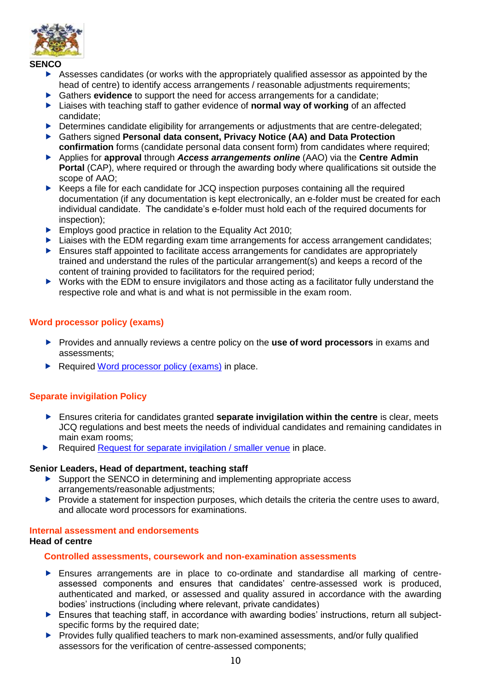

#### **SENCO**

- Assesses candidates (or works with the appropriately qualified assessor as appointed by the head of centre) to identify access arrangements / reasonable adjustments requirements;
- Gathers **evidence** to support the need for access arrangements for a candidate;
- ▶ Liaises with teaching staff to gather evidence of **normal way of working** of an affected candidate;
- Determines candidate eligibility for arrangements or adjustments that are centre-delegated;
- Gathers signed **Personal data consent, Privacy Notice (AA) and Data Protection confirmation** forms (candidate personal data consent form) from candidates where required;
- Applies for **approval** through *Access arrangements online* (AAO) via the **Centre Admin Portal** (CAP), where required or through the awarding body where qualifications sit outside the scope of AAO;
- ▶ Keeps a file for each candidate for JCQ inspection purposes containing all the required documentation (if any documentation is kept electronically, an e-folder must be created for each individual candidate. The candidate's e-folder must hold each of the required documents for inspection);
- **Employs good practice in relation to the Equality Act 2010;**
- **Liaises with the EDM regarding exam time arrangements for access arrangement candidates:**
- Ensures staff appointed to facilitate access arrangements for candidates are appropriately trained and understand the rules of the particular arrangement(s) and keeps a record of the content of training provided to facilitators for the required period;
- ▶ Works with the EDM to ensure invigilators and those acting as a facilitator fully understand the respective role and what is and what is not permissible in the exam room.

## <span id="page-13-0"></span>**Word processor policy (exams)**

- Provides and annually reviews a centre policy on the **use of word processors** in exams and assessments;
- Required [Word processor policy \(exams\)](https://www.cooperscoborn.org.uk/wp-content/uploads/2022/04/Word-processor-policy-exams.pdf) in place.

## <span id="page-13-1"></span>**Separate invigilation Policy**

- Ensures criteria for candidates granted **separate invigilation within the centre** is clear, meets JCQ regulations and best meets the needs of individual candidates and remaining candidates in main exam rooms;
- Required [Request for separate invigilation / smaller venue](https://www.cooperscoborn.org.uk/wp-content/uploads/2022/05/Attachment-5-Requests-for-separate-invigilation-smaller-venues.pdf) in place.

#### **Senior Leaders, Head of department, teaching staff**

- Support the SENCO in determining and implementing appropriate access arrangements/reasonable adjustments;
- $\blacktriangleright$  Provide a statement for inspection purposes, which details the criteria the centre uses to award, and allocate word processors for examinations.

# <span id="page-13-2"></span>**Internal assessment and endorsements**

# <span id="page-13-3"></span>**Head of centre**

#### **Controlled assessments, coursework and non-examination assessments**

- Ensures arrangements are in place to co-ordinate and standardise all marking of centreassessed components and ensures that candidates' centre-assessed work is produced, authenticated and marked, or assessed and quality assured in accordance with the awarding bodies' instructions (including where relevant, private candidates)
- ▶ Ensures that teaching staff, in accordance with awarding bodies' instructions, return all subjectspecific forms by the required date:
- Provides fully qualified teachers to mark non-examined assessments, and/or fully qualified assessors for the verification of centre-assessed components;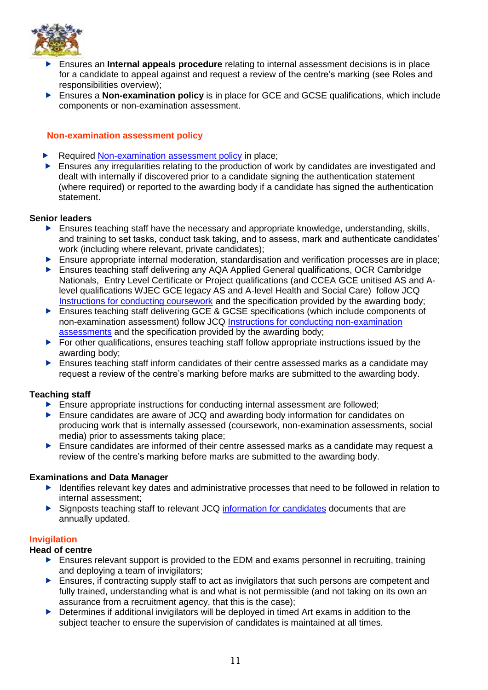

- Ensures an **Internal appeals procedure** relating to internal assessment decisions is in place for a candidate to appeal against and request a review of the centre's marking (see Roles and responsibilities overview);
- Ensures a **Non-examination policy** is in place for GCE and GCSE qualifications, which include components or non-examination assessment.

## <span id="page-14-0"></span>**Non-examination assessment policy**

- Required [Non-examination assessment policy](https://www.cooperscoborn.org.uk/wp-content/uploads/2022/04/Non-examination-assessment-policy-1.pdf) in place;
- **Ensures any irregularities relating to the production of work by candidates are investigated and** dealt with internally if discovered prior to a candidate signing the authentication statement (where required) or reported to the awarding body if a candidate has signed the authentication statement.

## **Senior leaders**

- **Ensures teaching staff have the necessary and appropriate knowledge, understanding, skills,** and training to set tasks, conduct task taking, and to assess, mark and authenticate candidates' work (including where relevant, private candidates);
- Ensure appropriate internal moderation, standardisation and verification processes are in place;
- Ensures teaching staff delivering any AQA Applied General qualifications, OCR Cambridge Nationals, Entry Level Certificate or Project qualifications (and CCEA GCE unitised AS and Alevel qualifications WJEC GCE legacy AS and A-level Health and Social Care) follow JCQ [Instructions for conducting coursework](http://www.jcq.org.uk/exams-office/coursework) and the specification provided by the awarding body;
- ▶ Ensures teaching staff delivering GCE & GCSE specifications (which include components of non-examination assessment) follow JCQ [Instructions for conducting non-examination](http://www.jcq.org.uk/exams-office/non-examination-assessments)  [assessments](http://www.jcq.org.uk/exams-office/non-examination-assessments) and the specification provided by the awarding body;
- $\blacktriangleright$  For other qualifications, ensures teaching staff follow appropriate instructions issued by the awarding body;
- **Ensures teaching staff inform candidates of their centre assessed marks as a candidate may** request a review of the centre's marking before marks are submitted to the awarding body.

## **Teaching staff**

- **Ensure appropriate instructions for conducting internal assessment are followed;**
- Ensure candidates are aware of JCQ and awarding body information for candidates on producing work that is internally assessed (coursework, non-examination assessments, social media) prior to assessments taking place;
- $\blacktriangleright$  Ensure candidates are informed of their centre assessed marks as a candidate may request a review of the centre's marking before marks are submitted to the awarding body.

## **Examinations and Data Manager**

- Identifies relevant key dates and administrative processes that need to be followed in relation to internal assessment;
- Signposts teaching staff to relevant JCQ [information for candidates](https://www.jcq.org.uk/exams-office/information-for-candidates-documents/) documents that are annually updated.

## <span id="page-14-1"></span>**Invigilation**

## **Head of centre**

- Ensures relevant support is provided to the EDM and exams personnel in recruiting, training and deploying a team of invigilators;
- $\blacktriangleright$  Ensures, if contracting supply staff to act as invigilators that such persons are competent and fully trained, understanding what is and what is not permissible (and not taking on its own an assurance from a recruitment agency, that this is the case);
- ▶ Determines if additional invigilators will be deployed in timed Art exams in addition to the subject teacher to ensure the supervision of candidates is maintained at all times.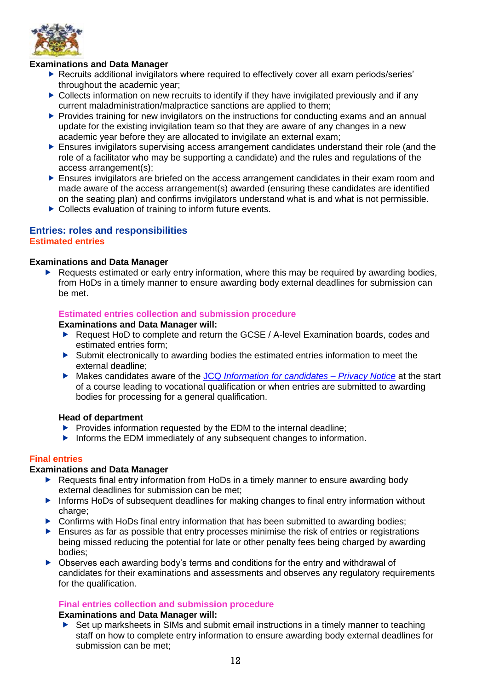

# **Examinations and Data Manager**

- ▶ Recruits additional invigilators where required to effectively cover all exam periods/series' throughout the academic year;
- $\triangleright$  Collects information on new recruits to identify if they have invigilated previously and if any current maladministration/malpractice sanctions are applied to them;
- Provides training for new invigilators on the instructions for conducting exams and an annual update for the existing invigilation team so that they are aware of any changes in a new academic year before they are allocated to invigilate an external exam;
- Ensures invigilators supervising access arrangement candidates understand their role (and the role of a facilitator who may be supporting a candidate) and the rules and regulations of the access arrangement(s);
- Ensures invigilators are briefed on the access arrangement candidates in their exam room and made aware of the access arrangement(s) awarded (ensuring these candidates are identified on the seating plan) and confirms invigilators understand what is and what is not permissible.
- ▶ Collects evaluation of training to inform future events.

#### <span id="page-15-1"></span><span id="page-15-0"></span>**Entries: roles and responsibilities Estimated entries**

#### **Examinations and Data Manager**

▶ Requests estimated or early entry information, where this may be required by awarding bodies, from HoDs in a timely manner to ensure awarding body external deadlines for submission can be met.

#### **Estimated entries collection and submission procedure**

#### **Examinations and Data Manager will:**

- ▶ Request HoD to complete and return the GCSE / A-level Examination boards, codes and estimated entries form;
- Submit electronically to awarding bodies the estimated entries information to meet the external deadline;
- Makes candidates aware of the JCQ *[Information for candidates –](https://www.jcq.org.uk/wp-content/uploads/2021/09/Information-for-candidates-Privacy-Notice_21-22.pdf) Privacy Notice* at the start of a course leading to vocational qualification or when entries are submitted to awarding bodies for processing for a general qualification.

#### **Head of department**

- $\blacktriangleright$  Provides information requested by the EDM to the internal deadline;
- Informs the EDM immediately of any subsequent changes to information.

#### <span id="page-15-2"></span>**Final entries**

## **Examinations and Data Manager**

- ▶ Requests final entry information from HoDs in a timely manner to ensure awarding body external deadlines for submission can be met;
- **Informs HoDs of subsequent deadlines for making changes to final entry information without** charge:
- ▶ Confirms with HoDs final entry information that has been submitted to awarding bodies;
- **Ensures as far as possible that entry processes minimise the risk of entries or registrations** being missed reducing the potential for late or other penalty fees being charged by awarding bodies;
- ▶ Observes each awarding body's terms and conditions for the entry and withdrawal of candidates for their examinations and assessments and observes any regulatory requirements for the qualification.

## **Final entries collection and submission procedure**

# **Examinations and Data Manager will:**

▶ Set up marksheets in SIMs and submit email instructions in a timely manner to teaching staff on how to complete entry information to ensure awarding body external deadlines for submission can be met;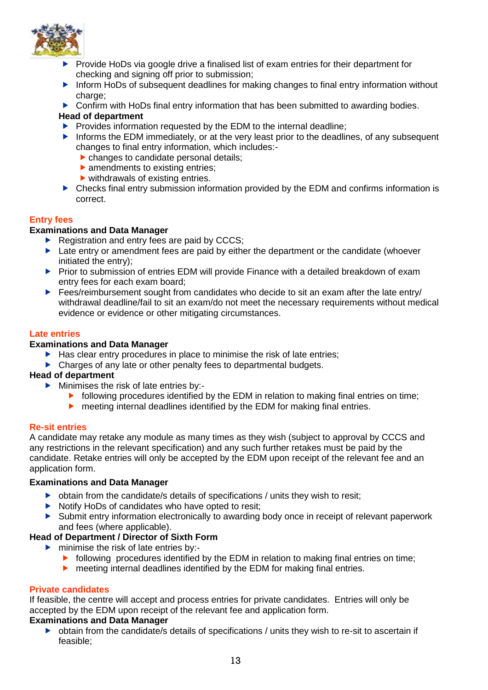

- $\blacktriangleright$  Provide HoDs via google drive a finalised list of exam entries for their department for checking and signing off prior to submission;
- Inform HoDs of subsequent deadlines for making changes to final entry information without charge:
- ▶ Confirm with HoDs final entry information that has been submitted to awarding bodies.

# **Head of department**

- $\blacktriangleright$  Provides information requested by the EDM to the internal deadline;
- Informs the EDM immediately, or at the very least prior to the deadlines, of any subsequent changes to final entry information, which includes:
	- changes to candidate personal details;
	- $\blacktriangleright$  amendments to existing entries:
	- $\blacktriangleright$  withdrawals of existing entries.
- ▶ Checks final entry submission information provided by the EDM and confirms information is correct.

# <span id="page-16-0"></span>**Entry fees**

# **Examinations and Data Manager**

- $\blacktriangleright$  Registration and entry fees are paid by CCCS;
- $\blacktriangleright$  Late entry or amendment fees are paid by either the department or the candidate (whoever initiated the entry);
- ▶ Prior to submission of entries EDM will provide Finance with a detailed breakdown of exam entry fees for each exam board;
- Fees/reimbursement sought from candidates who decide to sit an exam after the late entry/ withdrawal deadline/fail to sit an exam/do not meet the necessary requirements without medical evidence or evidence or other mitigating circumstances.

# <span id="page-16-1"></span>**Late entries**

# **Examinations and Data Manager**

- $\blacktriangleright$  Has clear entry procedures in place to minimise the risk of late entries;
- ▶ Charges of any late or other penalty fees to departmental budgets.

## **Head of department**

- Minimises the risk of late entries by:-
	- $\triangleright$  following procedures identified by the EDM in relation to making final entries on time;
	- **F** meeting internal deadlines identified by the EDM for making final entries.

## <span id="page-16-2"></span>**Re-sit entries**

A candidate may retake any module as many times as they wish (subject to approval by CCCS and any restrictions in the relevant specification) and any such further retakes must be paid by the candidate. Retake entries will only be accepted by the EDM upon receipt of the relevant fee and an application form.

## **Examinations and Data Manager**

- $\triangleright$  obtain from the candidate/s details of specifications / units they wish to resit;
- $\triangleright$  Notify HoDs of candidates who have opted to resit;
- Submit entry information electronically to awarding body once in receipt of relevant paperwork and fees (where applicable).

## **Head of Department / Director of Sixth Form**

- minimise the risk of late entries by:-
	- $\blacktriangleright$  following procedures identified by the EDM in relation to making final entries on time;
	- meeting internal deadlines identified by the EDM for making final entries.

## <span id="page-16-3"></span>**Private candidates**

If feasible, the centre will accept and process entries for private candidates. Entries will only be accepted by the EDM upon receipt of the relevant fee and application form.

## **Examinations and Data Manager**

 obtain from the candidate/s details of specifications / units they wish to re-sit to ascertain if feasible;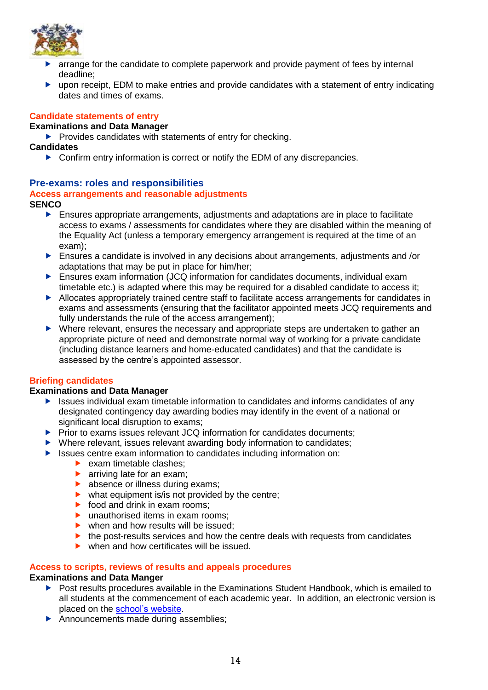

- $\blacktriangleright$  arrange for the candidate to complete paperwork and provide payment of fees by internal deadline;
- pon receipt, EDM to make entries and provide candidates with a statement of entry indicating dates and times of exams.

# <span id="page-17-0"></span>**Candidate statements of entry**

# **Examinations and Data Manager**

 $\blacktriangleright$  Provides candidates with statements of entry for checking.

## **Candidates**

▶ Confirm entry information is correct or notify the EDM of any discrepancies.

# <span id="page-17-1"></span>**Pre-exams: roles and responsibilities**

# <span id="page-17-2"></span>**Access arrangements and reasonable adjustments**

# **SENCO**

- Ensures appropriate arrangements, adjustments and adaptations are in place to facilitate access to exams / assessments for candidates where they are disabled within the meaning of the Equality Act (unless a temporary emergency arrangement is required at the time of an exam);
- Ensures a candidate is involved in any decisions about arrangements, adjustments and /or adaptations that may be put in place for him/her;
- Ensures exam information (JCQ information for candidates documents, individual exam timetable etc.) is adapted where this may be required for a disabled candidate to access it;
- Allocates appropriately trained centre staff to facilitate access arrangements for candidates in exams and assessments (ensuring that the facilitator appointed meets JCQ requirements and fully understands the rule of the access arrangement);
- $\triangleright$  Where relevant, ensures the necessary and appropriate steps are undertaken to gather an appropriate picture of need and demonstrate normal way of working for a private candidate (including distance learners and home-educated candidates) and that the candidate is assessed by the centre's appointed assessor.

## <span id="page-17-3"></span>**Briefing candidates**

## **Examinations and Data Manager**

- ▶ Issues individual exam timetable information to candidates and informs candidates of any designated contingency day awarding bodies may identify in the event of a national or significant local disruption to exams;
- $\blacktriangleright$  Prior to exams issues relevant JCQ information for candidates documents;
- ▶ Where relevant, issues relevant awarding body information to candidates;
- $\blacktriangleright$  Issues centre exam information to candidates including information on:
	- $\blacktriangleright$  exam timetable clashes:
	- **arriving late for an exam;**
	- **b** absence or illness during exams:
	- $\triangleright$  what equipment is/is not provided by the centre;
	- $\triangleright$  food and drink in exam rooms;
	- $\blacktriangleright$  unauthorised items in exam rooms:
	- $\triangleright$  when and how results will be issued:
	- $\blacktriangleright$  the post-results services and how the centre deals with requests from candidates
	- $\blacktriangleright$  when and how certificates will be issued.

# <span id="page-17-4"></span>**Access to scripts, reviews of results and appeals procedures**

## **Examinations and Data Manger**

- ▶ Post results procedures available in the Examinations Student Handbook, which is emailed to all students at the commencement of each academic year. In addition, an electronic version is placed on the [school's website.](https://www.cooperscoborn.org.uk/wp-content/uploads/2021/11/Student-Examination-handbook.pdf)
- Announcements made during assemblies;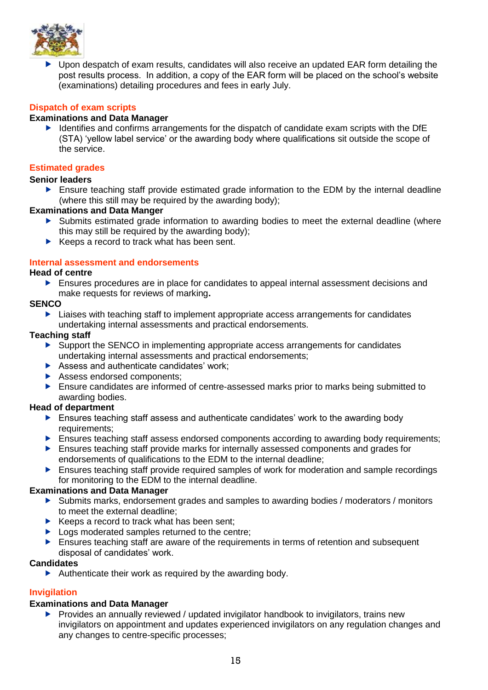

▶ Upon despatch of exam results, candidates will also receive an updated EAR form detailing the post results process. In addition, a copy of the EAR form will be placed on the school's website (examinations) detailing procedures and fees in early July.

# <span id="page-18-0"></span>**Dispatch of exam scripts**

# **Examinations and Data Manager**

 $\blacktriangleright$  Identifies and confirms arrangements for the dispatch of candidate exam scripts with the DfE (STA) 'yellow label service' or the awarding body where qualifications sit outside the scope of the service.

#### <span id="page-18-1"></span>**Estimated grades**

#### **Senior leaders**

**Ensure teaching staff provide estimated grade information to the EDM by the internal deadline** (where this still may be required by the awarding body);

# **Examinations and Data Manger**

- Submits estimated grade information to awarding bodies to meet the external deadline (where this may still be required by the awarding body);
- $\blacktriangleright$  Keeps a record to track what has been sent.

#### <span id="page-18-2"></span>**Internal assessment and endorsements**

#### **Head of centre**

 Ensures procedures are in place for candidates to appeal internal assessment decisions and make requests for reviews of marking**.**

#### **SENCO**

▶ Liaises with teaching staff to implement appropriate access arrangements for candidates undertaking internal assessments and practical endorsements.

#### **Teaching staff**

- ▶ Support the SENCO in implementing appropriate access arrangements for candidates undertaking internal assessments and practical endorsements;
- Assess and authenticate candidates' work:
- Assess endorsed components;
- Ensure candidates are informed of centre-assessed marks prior to marks being submitted to awarding bodies.

## **Head of department**

- ▶ Ensures teaching staff assess and authenticate candidates' work to the awarding body requirements;
- **Ensures teaching staff assess endorsed components according to awarding body requirements;**
- Ensures teaching staff provide marks for internally assessed components and grades for endorsements of qualifications to the EDM to the internal deadline;
- **Ensures teaching staff provide required samples of work for moderation and sample recordings** for monitoring to the EDM to the internal deadline.

#### **Examinations and Data Manager**

- Submits marks, endorsement grades and samples to awarding bodies / moderators / monitors to meet the external deadline;
- $\blacktriangleright$  Keeps a record to track what has been sent;
- ▶ Logs moderated samples returned to the centre;
- **Ensures teaching staff are aware of the requirements in terms of retention and subsequent** disposal of candidates' work.

#### **Candidates**

 $\blacktriangleright$  Authenticate their work as required by the awarding body.

## <span id="page-18-3"></span>**Invigilation**

## **Examinations and Data Manager**

 $\blacktriangleright$  Provides an annually reviewed / updated invigilator handbook to invigilators, trains new invigilators on appointment and updates experienced invigilators on any regulation changes and any changes to centre-specific processes;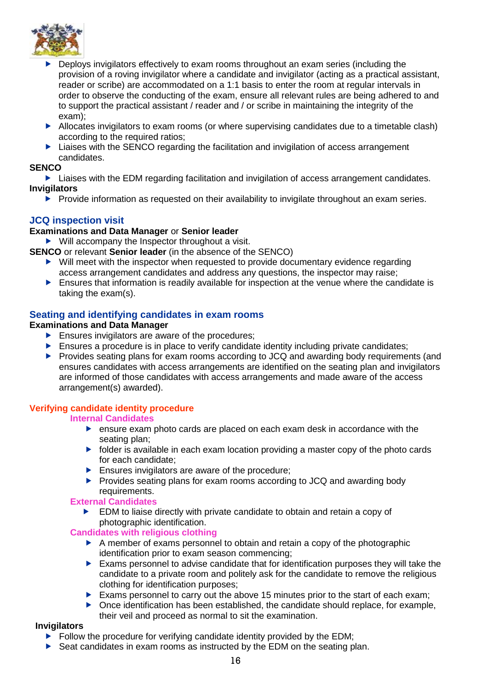

- **Deploys invigilators effectively to exam rooms throughout an exam series (including the** provision of a roving invigilator where a candidate and invigilator (acting as a practical assistant, reader or scribe) are accommodated on a 1:1 basis to enter the room at regular intervals in order to observe the conducting of the exam, ensure all relevant rules are being adhered to and to support the practical assistant / reader and / or scribe in maintaining the integrity of the exam);
- Allocates invigilators to exam rooms (or where supervising candidates due to a timetable clash) according to the required ratios;
- ▶ Liaises with the SENCO regarding the facilitation and invigilation of access arrangement candidates.

## **SENCO**

▶ Liaises with the EDM regarding facilitation and invigilation of access arrangement candidates. **Invigilators**

Provide information as requested on their availability to invigilate throughout an exam series.

# <span id="page-19-0"></span>**JCQ inspection visit**

# **Examinations and Data Manager** or **Senior leader**

 $\blacktriangleright$  Will accompany the Inspector throughout a visit.

- **SENCO** or relevant **Senior leader** (in the absence of the SENCO)
	- Will meet with the inspector when requested to provide documentary evidence regarding access arrangement candidates and address any questions, the inspector may raise;
	- Ensures that information is readily available for inspection at the venue where the candidate is taking the exam(s).

# <span id="page-19-1"></span>**Seating and identifying candidates in exam rooms**

## **Examinations and Data Manager**

- **Ensures invigilators are aware of the procedures;**
- $\blacktriangleright$  Ensures a procedure is in place to verify candidate identity including private candidates;
- ▶ Provides seating plans for exam rooms according to JCQ and awarding body requirements (and ensures candidates with access arrangements are identified on the seating plan and invigilators are informed of those candidates with access arrangements and made aware of the access arrangement(s) awarded).

# <span id="page-19-2"></span>**Verifying candidate identity procedure**

## **Internal Candidates**

- ensure exam photo cards are placed on each exam desk in accordance with the seating plan;
- $\triangleright$  folder is available in each exam location providing a master copy of the photo cards for each candidate;
- $\blacktriangleright$  Ensures invigilators are aware of the procedure;
- ▶ Provides seating plans for exam rooms according to JCQ and awarding body requirements.

## **External Candidates**

 EDM to liaise directly with private candidate to obtain and retain a copy of photographic identification.

## **Candidates with religious clothing**

- A member of exams personnel to obtain and retain a copy of the photographic identification prior to exam season commencing;
- $\blacktriangleright$  Exams personnel to advise candidate that for identification purposes they will take the candidate to a private room and politely ask for the candidate to remove the religious clothing for identification purposes;
- Exams personnel to carry out the above 15 minutes prior to the start of each exam;
- $\triangleright$  Once identification has been established, the candidate should replace, for example, their veil and proceed as normal to sit the examination.

# **Invigilators**

- $\blacktriangleright$  Follow the procedure for verifying candidate identity provided by the EDM;
- Seat candidates in exam rooms as instructed by the EDM on the seating plan.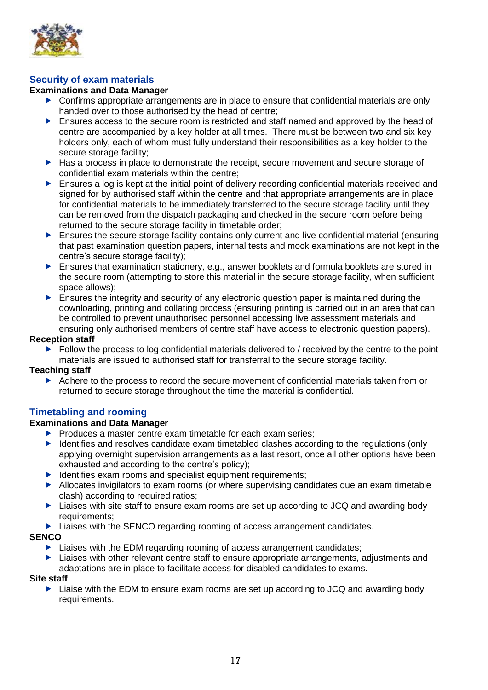

# <span id="page-20-0"></span>**Security of exam materials**

# **Examinations and Data Manager**

- Confirms appropriate arrangements are in place to ensure that confidential materials are only handed over to those authorised by the head of centre;
- Ensures access to the secure room is restricted and staff named and approved by the head of centre are accompanied by a key holder at all times. There must be between two and six key holders only, each of whom must fully understand their responsibilities as a key holder to the secure storage facility;
- ▶ Has a process in place to demonstrate the receipt, secure movement and secure storage of confidential exam materials within the centre;
- Ensures a log is kept at the initial point of delivery recording confidential materials received and signed for by authorised staff within the centre and that appropriate arrangements are in place for confidential materials to be immediately transferred to the secure storage facility until they can be removed from the dispatch packaging and checked in the secure room before being returned to the secure storage facility in timetable order;
- **Ensures the secure storage facility contains only current and live confidential material (ensuring** that past examination question papers, internal tests and mock examinations are not kept in the centre's secure storage facility);
- Ensures that examination stationery, e.g., answer booklets and formula booklets are stored in the secure room (attempting to store this material in the secure storage facility, when sufficient space allows);
- **Ensures the integrity and security of any electronic question paper is maintained during the** downloading, printing and collating process (ensuring printing is carried out in an area that can be controlled to prevent unauthorised personnel accessing live assessment materials and ensuring only authorised members of centre staff have access to electronic question papers).

## **Reception staff**

 $\blacktriangleright$  Follow the process to log confidential materials delivered to / received by the centre to the point materials are issued to authorised staff for transferral to the secure storage facility.

## **Teaching staff**

Adhere to the process to record the secure movement of confidential materials taken from or returned to secure storage throughout the time the material is confidential.

# <span id="page-20-1"></span>**Timetabling and rooming**

## **Examinations and Data Manager**

- $\blacktriangleright$  Produces a master centre exam timetable for each exam series;
- $\blacktriangleright$  Identifies and resolves candidate exam timetabled clashes according to the regulations (only applying overnight supervision arrangements as a last resort, once all other options have been exhausted and according to the centre's policy);
- $\blacktriangleright$  Identifies exam rooms and specialist equipment requirements;
- Allocates invigilators to exam rooms (or where supervising candidates due an exam timetable clash) according to required ratios;
- ▶ Liaises with site staff to ensure exam rooms are set up according to JCQ and awarding body requirements:
- ▶ Liaises with the SENCO regarding rooming of access arrangement candidates.

## **SENCO**

- $\blacktriangleright$  Liaises with the EDM regarding rooming of access arrangement candidates;
- **EXTER** Liaises with other relevant centre staff to ensure appropriate arrangements, adjustments and adaptations are in place to facilitate access for disabled candidates to exams.

#### **Site staff**

► Liaise with the EDM to ensure exam rooms are set up according to JCQ and awarding body requirements.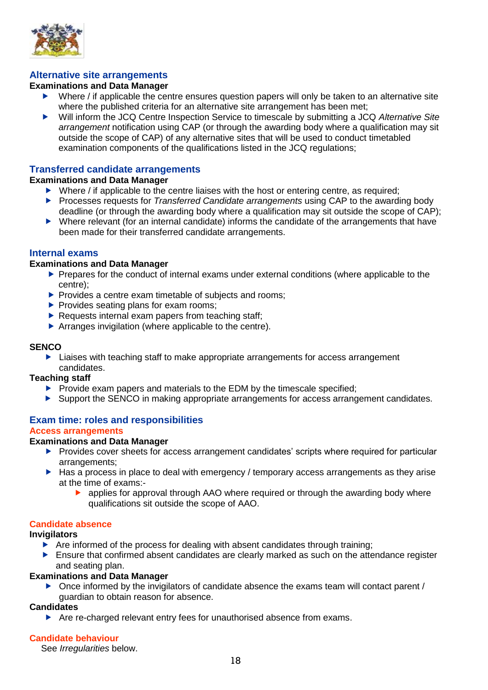

# <span id="page-21-0"></span>**Alternative site arrangements**

## **Examinations and Data Manager**

- $\triangleright$  Where *l* if applicable the centre ensures question papers will only be taken to an alternative site where the published criteria for an alternative site arrangement has been met;
- Will inform the JCQ Centre Inspection Service to timescale by submitting a JCQ *Alternative Site arrangement* notification using CAP (or through the awarding body where a qualification may sit outside the scope of CAP) of any alternative sites that will be used to conduct timetabled examination components of the qualifications listed in the JCQ regulations;

## <span id="page-21-1"></span>**Transferred candidate arrangements**

#### **Examinations and Data Manager**

- $\triangleright$  Where / if applicable to the centre liaises with the host or entering centre, as required;
- **Processes requests for** *Transferred Candidate arrangements* using CAP to the awarding body deadline (or through the awarding body where a qualification may sit outside the scope of CAP);
- Where relevant (for an internal candidate) informs the candidate of the arrangements that have been made for their transferred candidate arrangements.

## <span id="page-21-2"></span>**Internal exams**

#### **Examinations and Data Manager**

- **Prepares for the conduct of internal exams under external conditions (where applicable to the** centre);
- $\blacktriangleright$  Provides a centre exam timetable of subjects and rooms;
- $\blacktriangleright$  Provides seating plans for exam rooms:
- $\blacktriangleright$  Requests internal exam papers from teaching staff;
- Arranges invigilation (where applicable to the centre).

#### **SENCO**

▶ Liaises with teaching staff to make appropriate arrangements for access arrangement candidates.

## **Teaching staff**

- $\triangleright$  Provide exam papers and materials to the EDM by the timescale specified;
- Support the SENCO in making appropriate arrangements for access arrangement candidates.

#### <span id="page-21-3"></span>**Exam time: roles and responsibilities Access arrangements**

#### <span id="page-21-4"></span>**Examinations and Data Manager**

- Provides cover sheets for access arrangement candidates' scripts where required for particular arrangements;
- $\blacktriangleright$  Has a process in place to deal with emergency / temporary access arrangements as they arise at the time of exams:
	- applies for approval through AAO where required or through the awarding body where qualifications sit outside the scope of AAO.

# <span id="page-21-5"></span>**Candidate absence**

#### **Invigilators**

- $\blacktriangleright$  Are informed of the process for dealing with absent candidates through training;
- $\blacktriangleright$  Ensure that confirmed absent candidates are clearly marked as such on the attendance register and seating plan.

#### **Examinations and Data Manager**

 $\triangleright$  Once informed by the invigilators of candidate absence the exams team will contact parent / guardian to obtain reason for absence.

## **Candidates**

▶ Are re-charged relevant entry fees for unauthorised absence from exams.

## <span id="page-21-6"></span>**Candidate behaviour**

See *Irregularities* below.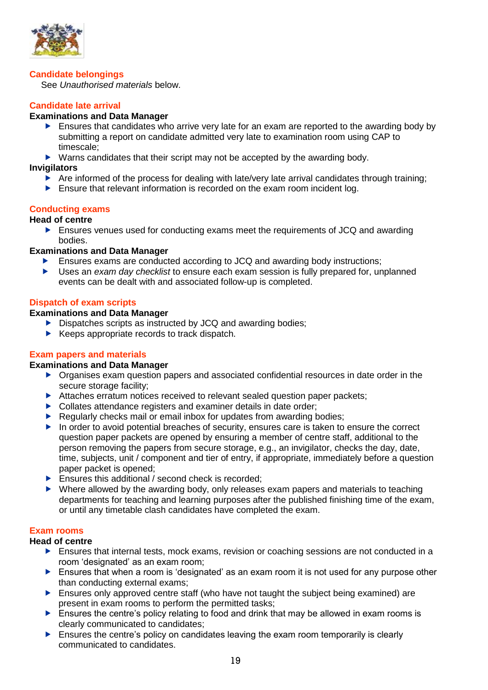

#### <span id="page-22-0"></span>**Candidate belongings**

See *Unauthorised materials* below.

# <span id="page-22-1"></span>**Candidate late arrival**

#### **Examinations and Data Manager**

- $\blacktriangleright$  Ensures that candidates who arrive very late for an exam are reported to the awarding body by submitting a report on candidate admitted very late to examination room using CAP to timescale;
- ▶ Warns candidates that their script may not be accepted by the awarding body.

#### **Invigilators**

- Are informed of the process for dealing with late/very late arrival candidates through training;
- $\blacktriangleright$  Ensure that relevant information is recorded on the exam room incident log.

## <span id="page-22-2"></span>**Conducting exams**

# **Head of centre**

 Ensures venues used for conducting exams meet the requirements of JCQ and awarding bodies.

#### **Examinations and Data Manager**

- Ensures exams are conducted according to JCQ and awarding body instructions;
- Uses an *exam day checklist* to ensure each exam session is fully prepared for, unplanned events can be dealt with and associated follow-up is completed.

## <span id="page-22-3"></span>**Dispatch of exam scripts**

#### **Examinations and Data Manager**

- Dispatches scripts as instructed by JCQ and awarding bodies;
- $\blacktriangleright$  Keeps appropriate records to track dispatch.

## <span id="page-22-4"></span>**Exam papers and materials**

#### **Examinations and Data Manager**

- Organises exam question papers and associated confidential resources in date order in the secure storage facility;
- Attaches erratum notices received to relevant sealed question paper packets;
- ▶ Collates attendance registers and examiner details in date order;
- Regularly checks mail or email inbox for updates from awarding bodies;
- $\blacktriangleright$  In order to avoid potential breaches of security, ensures care is taken to ensure the correct question paper packets are opened by ensuring a member of centre staff, additional to the person removing the papers from secure storage, e.g., an invigilator, checks the day, date, time, subjects, unit / component and tier of entry, if appropriate, immediately before a question paper packet is opened;
- **Ensures this additional / second check is recorded;**
- ▶ Where allowed by the awarding body, only releases exam papers and materials to teaching departments for teaching and learning purposes after the published finishing time of the exam, or until any timetable clash candidates have completed the exam.

#### <span id="page-22-5"></span>**Exam rooms**

#### **Head of centre**

- **Ensures that internal tests, mock exams, revision or coaching sessions are not conducted in a** room 'designated' as an exam room;
- $\blacktriangleright$  Ensures that when a room is 'designated' as an exam room it is not used for any purpose other than conducting external exams;
- $\blacktriangleright$  Ensures only approved centre staff (who have not taught the subject being examined) are present in exam rooms to perform the permitted tasks;
- $\blacktriangleright$  Ensures the centre's policy relating to food and drink that may be allowed in exam rooms is clearly communicated to candidates;
- Ensures the centre's policy on candidates leaving the exam room temporarily is clearly communicated to candidates.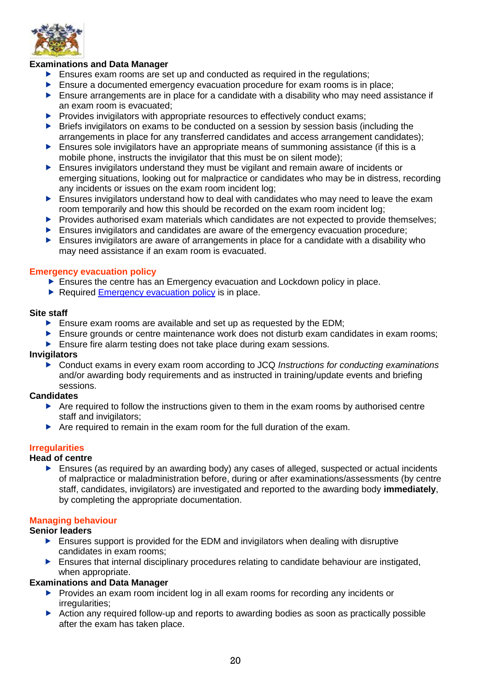

# **Examinations and Data Manager**

- $\blacktriangleright$  Ensures exam rooms are set up and conducted as required in the regulations;
- Ensure a documented emergency evacuation procedure for exam rooms is in place;
- $\blacktriangleright$  Ensure arrangements are in place for a candidate with a disability who may need assistance if an exam room is evacuated;
- $\blacktriangleright$  Provides invigilators with appropriate resources to effectively conduct exams;
- **Briefs invigilators on exams to be conducted on a session by session basis (including the** arrangements in place for any transferred candidates and access arrangement candidates);
- $\blacktriangleright$  Ensures sole invigilators have an appropriate means of summoning assistance (if this is a mobile phone, instructs the invigilator that this must be on silent mode);
- Ensures invigilators understand they must be vigilant and remain aware of incidents or emerging situations, looking out for malpractice or candidates who may be in distress, recording any incidents or issues on the exam room incident log;
- Ensures invigilators understand how to deal with candidates who may need to leave the exam room temporarily and how this should be recorded on the exam room incident log;
- Provides authorised exam materials which candidates are not expected to provide themselves;
- Ensures invigilators and candidates are aware of the emergency evacuation procedure;
- $\blacktriangleright$  Ensures invigilators are aware of arrangements in place for a candidate with a disability who may need assistance if an exam room is evacuated.

#### <span id="page-23-0"></span>**Emergency evacuation policy**

- **Ensures the centre has an Emergency evacuation and Lockdown policy in place.**
- Required [Emergency evacuation policy](https://www.cooperscoborn.org.uk/wp-content/uploads/2022/05/Attachment-2-Emergency-evacuation-policy-exams.pdf) is in place.

#### **Site staff**

- Ensure exam rooms are available and set up as requested by the EDM;
- **E** Ensure grounds or centre maintenance work does not disturb exam candidates in exam rooms;
- Ensure fire alarm testing does not take place during exam sessions.

#### **Invigilators**

 Conduct exams in every exam room according to JCQ *Instructions for conducting examinations* and/or awarding body requirements and as instructed in training/update events and briefing sessions.

#### **Candidates**

- Are required to follow the instructions given to them in the exam rooms by authorised centre staff and invigilators;
- $\blacktriangleright$  Are required to remain in the exam room for the full duration of the exam.

# <span id="page-23-1"></span>**Irregularities**

## **Head of centre**

 Ensures (as required by an awarding body) any cases of alleged, suspected or actual incidents of malpractice or maladministration before, during or after examinations/assessments (by centre staff, candidates, invigilators) are investigated and reported to the awarding body **immediately**, by completing the appropriate documentation.

## <span id="page-23-2"></span>**Managing behaviour**

## **Senior leaders**

- Ensures support is provided for the EDM and invigilators when dealing with disruptive candidates in exam rooms;
- $\blacktriangleright$  Ensures that internal disciplinary procedures relating to candidate behaviour are instigated, when appropriate.

## **Examinations and Data Manager**

- ▶ Provides an exam room incident log in all exam rooms for recording any incidents or irregularities;
- Action any required follow-up and reports to awarding bodies as soon as practically possible after the exam has taken place.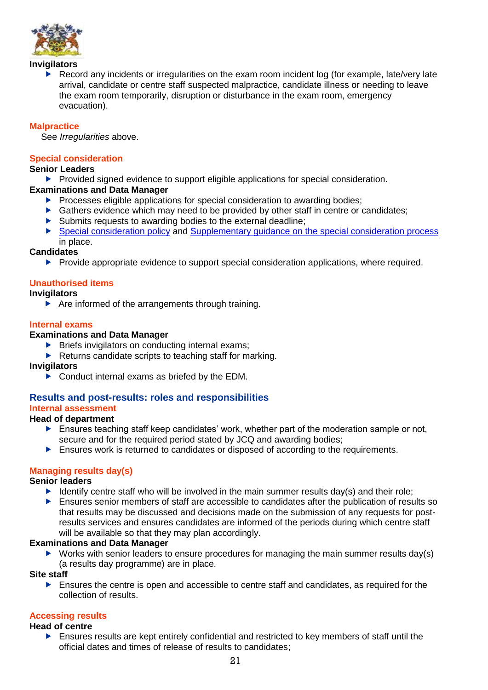

#### **Invigilators**

Record any incidents or irregularities on the exam room incident log (for example, late/very late arrival, candidate or centre staff suspected malpractice, candidate illness or needing to leave the exam room temporarily, disruption or disturbance in the exam room, emergency evacuation).

# <span id="page-24-0"></span>**Malpractice**

See *Irregularities* above.

# <span id="page-24-1"></span>**Special consideration**

#### **Senior Leaders**

Provided signed evidence to support eligible applications for special consideration.

## **Examinations and Data Manager**

- $\blacktriangleright$  Processes eligible applications for special consideration to awarding bodies;
- ▶ Gathers evidence which may need to be provided by other staff in centre or candidates;
- $\triangleright$  Submits requests to awarding bodies to the external deadline;
- [Special consideration policy](https://www.cooperscoborn.org.uk/wp-content/uploads/2022/05/Attachment-2-Emergency-evacuation-policy-exams.pdf) and [Supplementary guidance on the special consideration process](https://www.cooperscoborn.org.uk/wp-content/uploads/2022/05/Attachment-2-Emergency-evacuation-policy-exams.pdf) in place.

# **Candidates**

Provide appropriate evidence to support special consideration applications, where required.

# <span id="page-24-2"></span>**Unauthorised items**

## **Invigilators**

 $\blacktriangleright$  Are informed of the arrangements through training.

## <span id="page-24-3"></span>**Internal exams**

## **Examinations and Data Manager**

- $\triangleright$  Briefs invigilators on conducting internal exams;
- $\blacktriangleright$  Returns candidate scripts to teaching staff for marking.

## **Invigilators**

▶ Conduct internal exams as briefed by the EDM.

#### <span id="page-24-4"></span>**Results and post-results: roles and responsibilities Internal assessment**

# <span id="page-24-5"></span>**Head of department**

- **Ensures teaching staff keep candidates' work, whether part of the moderation sample or not,** secure and for the required period stated by JCQ and awarding bodies;
- **Ensures work is returned to candidates or disposed of according to the requirements.**

## <span id="page-24-6"></span>**Managing results day(s)**

## **Senior leaders**

- Identify centre staff who will be involved in the main summer results day(s) and their role;
- Ensures senior members of staff are accessible to candidates after the publication of results so that results may be discussed and decisions made on the submission of any requests for postresults services and ensures candidates are informed of the periods during which centre staff will be available so that they may plan accordingly.

# **Examinations and Data Manager**

 $\triangleright$  Works with senior leaders to ensure procedures for managing the main summer results day(s) (a results day programme) are in place.

#### **Site staff**

**Ensures the centre is open and accessible to centre staff and candidates, as required for the** collection of results.

## <span id="page-24-7"></span>**Accessing results**

#### **Head of centre**

 Ensures results are kept entirely confidential and restricted to key members of staff until the official dates and times of release of results to candidates;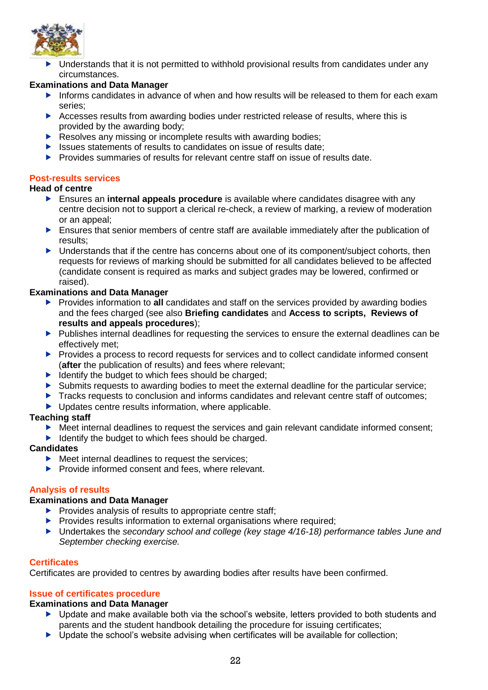

 Understands that it is not permitted to withhold provisional results from candidates under any circumstances.

# **Examinations and Data Manager**

- Informs candidates in advance of when and how results will be released to them for each exam series;
- Accesses results from awarding bodies under restricted release of results, where this is provided by the awarding body;
- Resolves any missing or incomplete results with awarding bodies;
- $\blacktriangleright$  Issues statements of results to candidates on issue of results date:
- **Provides summaries of results for relevant centre staff on issue of results date.**

# <span id="page-25-0"></span>**Post-results services**

## **Head of centre**

- Ensures an **internal appeals procedure** is available where candidates disagree with any centre decision not to support a clerical re-check, a review of marking, a review of moderation or an appeal;
- Ensures that senior members of centre staff are available immediately after the publication of results;
- $\blacktriangleright$  Understands that if the centre has concerns about one of its component/subject cohorts, then requests for reviews of marking should be submitted for all candidates believed to be affected (candidate consent is required as marks and subject grades may be lowered, confirmed or raised).

# **Examinations and Data Manager**

- **Provides information to all candidates and staff on the services provided by awarding bodies** and the fees charged (see also **Briefing candidates** and **Access to scripts, Reviews of results and appeals procedures**);
- $\blacktriangleright$  Publishes internal deadlines for requesting the services to ensure the external deadlines can be effectively met;
- Provides a process to record requests for services and to collect candidate informed consent (**after** the publication of results) and fees where relevant;
- $\blacktriangleright$  Identify the budget to which fees should be charged;
- Submits requests to awarding bodies to meet the external deadline for the particular service;
- Tracks requests to conclusion and informs candidates and relevant centre staff of outcomes;
- ▶ Updates centre results information, where applicable.

## **Teaching staff**

- Meet internal deadlines to request the services and gain relevant candidate informed consent:
- $\blacktriangleright$  Identify the budget to which fees should be charged.

## **Candidates**

- $\blacktriangleright$  Meet internal deadlines to request the services;
- $\blacktriangleright$  Provide informed consent and fees, where relevant.

# <span id="page-25-1"></span>**Analysis of results**

# **Examinations and Data Manager**

- $\blacktriangleright$  Provides analysis of results to appropriate centre staff;
- $\blacktriangleright$  Provides results information to external organisations where required;
- Undertakes the *secondary school and college (key stage 4/16-18) performance tables June and September checking exercise.*

# <span id="page-25-2"></span>**Certificates**

Certificates are provided to centres by awarding bodies after results have been confirmed.

# <span id="page-25-3"></span>**Issue of certificates procedure**

## **Examinations and Data Manager**

- ▶ Update and make available both via the school's website, letters provided to both students and parents and the student handbook detailing the procedure for issuing certificates;
- ▶ Update the school's website advising when certificates will be available for collection;